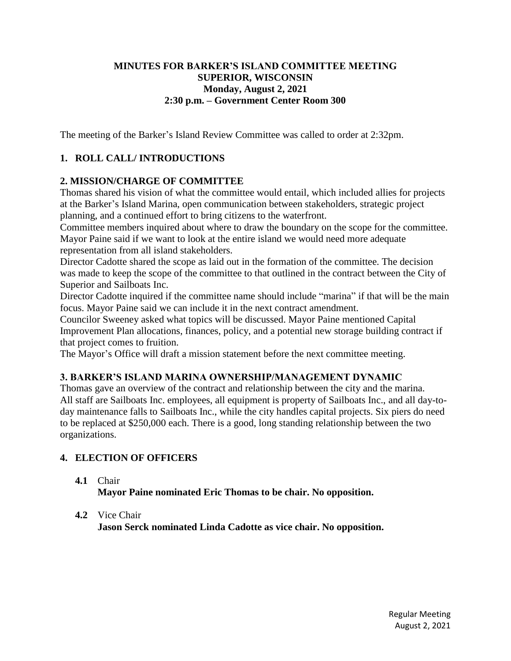## **MINUTES FOR BARKER'S ISLAND COMMITTEE MEETING SUPERIOR, WISCONSIN Monday, August 2, 2021 2:30 p.m. – Government Center Room 300**

The meeting of the Barker's Island Review Committee was called to order at 2:32pm.

## **1. ROLL CALL/ INTRODUCTIONS**

## **2. MISSION/CHARGE OF COMMITTEE**

Thomas shared his vision of what the committee would entail, which included allies for projects at the Barker's Island Marina, open communication between stakeholders, strategic project planning, and a continued effort to bring citizens to the waterfront.

Committee members inquired about where to draw the boundary on the scope for the committee. Mayor Paine said if we want to look at the entire island we would need more adequate representation from all island stakeholders.

Director Cadotte shared the scope as laid out in the formation of the committee. The decision was made to keep the scope of the committee to that outlined in the contract between the City of Superior and Sailboats Inc.

Director Cadotte inquired if the committee name should include "marina" if that will be the main focus. Mayor Paine said we can include it in the next contract amendment.

Councilor Sweeney asked what topics will be discussed. Mayor Paine mentioned Capital Improvement Plan allocations, finances, policy, and a potential new storage building contract if that project comes to fruition.

The Mayor's Office will draft a mission statement before the next committee meeting.

#### **3. BARKER'S ISLAND MARINA OWNERSHIP/MANAGEMENT DYNAMIC**

Thomas gave an overview of the contract and relationship between the city and the marina. All staff are Sailboats Inc. employees, all equipment is property of Sailboats Inc., and all day-today maintenance falls to Sailboats Inc., while the city handles capital projects. Six piers do need to be replaced at \$250,000 each. There is a good, long standing relationship between the two organizations.

#### **4. ELECTION OF OFFICERS**

#### **4.1** Chair

**Mayor Paine nominated Eric Thomas to be chair. No opposition.** 

#### **4.2** Vice Chair

**Jason Serck nominated Linda Cadotte as vice chair. No opposition.**